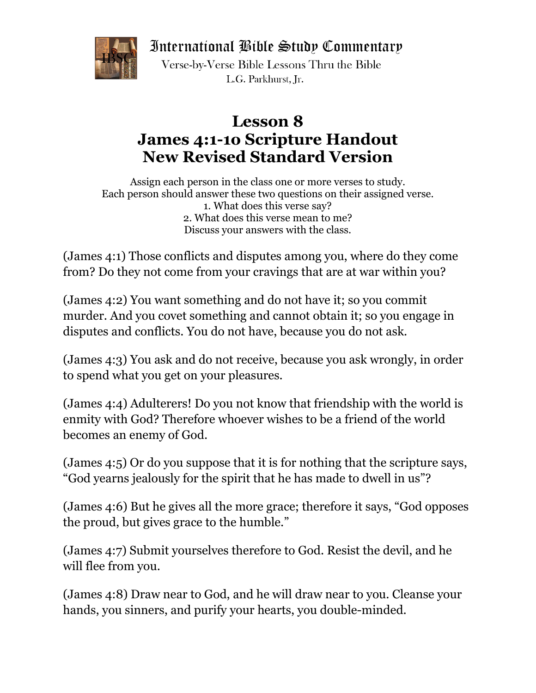International Bible Study Commentary



Verse-by-Verse Bible Lessons Thru the Bible L.G. Parkhurst. Ir.

## **Lesson 8 James 4:1-1o Scripture Handout New Revised Standard Version**

Assign each person in the class one or more verses to study. Each person should answer these two questions on their assigned verse. 1. What does this verse say? 2. What does this verse mean to me? Discuss your answers with the class.

(James 4:1) Those conflicts and disputes among you, where do they come from? Do they not come from your cravings that are at war within you?

(James 4:2) You want something and do not have it; so you commit murder. And you covet something and cannot obtain it; so you engage in disputes and conflicts. You do not have, because you do not ask.

(James 4:3) You ask and do not receive, because you ask wrongly, in order to spend what you get on your pleasures.

(James 4:4) Adulterers! Do you not know that friendship with the world is enmity with God? Therefore whoever wishes to be a friend of the world becomes an enemy of God.

(James 4:5) Or do you suppose that it is for nothing that the scripture says, "God yearns jealously for the spirit that he has made to dwell in us"?

(James 4:6) But he gives all the more grace; therefore it says, "God opposes the proud, but gives grace to the humble."

(James 4:7) Submit yourselves therefore to God. Resist the devil, and he will flee from you.

(James 4:8) Draw near to God, and he will draw near to you. Cleanse your hands, you sinners, and purify your hearts, you double-minded.